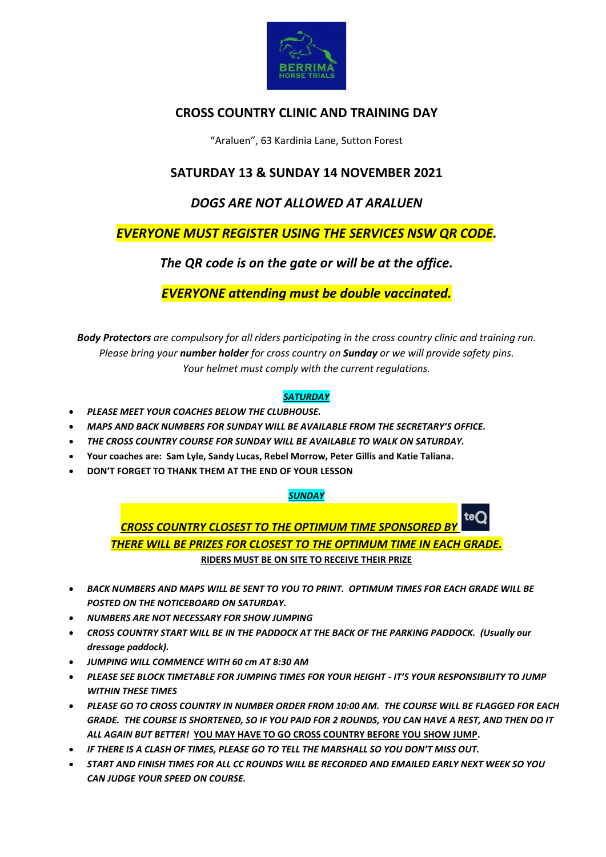

# **CROSS COUNTRY CLINIC AND TRAINING DAY**

"Araluen", 63 Kardinia Lane, Sutton Forest

# **SATURDAY 13 & SUNDAY 14 NOVEMBER 2021**

# *DOGS ARE NOT ALLOWED AT ARALUEN*

# *EVERYONE MUST REGISTER USING THE SERVICES NSW QR CODE.*

# *The QR code is on the gate or will be at the office.*

*EVERYONE attending must be double vaccinated.*

*Body Protectors are compulsory for all riders participating in the cross country clinic and training run. Please bring your number holder for cross country on Sunday or we will provide safety pins. Your helmet must comply with the current regulations.*

## *SATURDAY*

- *PLEASE MEET YOUR COACHES BELOW THE CLUBHOUSE.*
- *MAPS AND BACK NUMBERS FOR SUNDAY WILL BE AVAILABLE FROM THE SECRETARY'S OFFICE.*
- *THE CROSS COUNTRY COURSE FOR SUNDAY WILL BE AVAILABLE TO WALK ON SATURDAY.*
- **Your coaches are: Sam Lyle, Sandy Lucas, Rebel Morrow, Peter Gillis and Katie Taliana.**
- **DON'T FORGET TO THANK THEM AT THE END OF YOUR LESSON**

## *SUNDAY*

teQ *CROSS COUNTRY CLOSEST TO THE OPTIMUM TIME SPONSORED BY THERE WILL BE PRIZES FOR CLOSEST TO THE OPTIMUM TIME IN EACH GRADE.* **RIDERS MUST BE ON SITE TO RECEIVE THEIR PRIZE**

- *BACK NUMBERS AND MAPS WILL BE SENT TO YOU TO PRINT. OPTIMUM TIMES FOR EACH GRADE WILL BE POSTED ON THE NOTICEBOARD ON SATURDAY.*
- *NUMBERS ARE NOT NECESSARY FOR SHOW JUMPING*
- *CROSS COUNTRY START WILL BE IN THE PADDOCK AT THE BACK OF THE PARKING PADDOCK. (Usually our dressage paddock).*
- *JUMPING WILL COMMENCE WITH 60 cm AT 8:30 AM*
- *PLEASE SEE BLOCK TIMETABLE FOR JUMPING TIMES FOR YOUR HEIGHT - IT'S YOUR RESPONSIBILITY TO JUMP WITHIN THESE TIMES*
- *PLEASE GO TO CROSS COUNTRY IN NUMBER ORDER FROM 10:00 AM. THE COURSE WILL BE FLAGGED FOR EACH GRADE. THE COURSE IS SHORTENED, SO IF YOU PAID FOR 2 ROUNDS, YOU CAN HAVE A REST, AND THEN DO IT ALL AGAIN BUT BETTER!* **YOU MAY HAVE TO GO CROSS COUNTRY BEFORE YOU SHOW JUMP.**
- *IF THERE IS A CLASH OF TIMES, PLEASE GO TO TELL THE MARSHALL SO YOU DON'T MISS OUT.*
- *START AND FINISH TIMES FOR ALL CC ROUNDS WILL BE RECORDED AND EMAILED EARLY NEXT WEEK SO YOU CAN JUDGE YOUR SPEED ON COURSE.*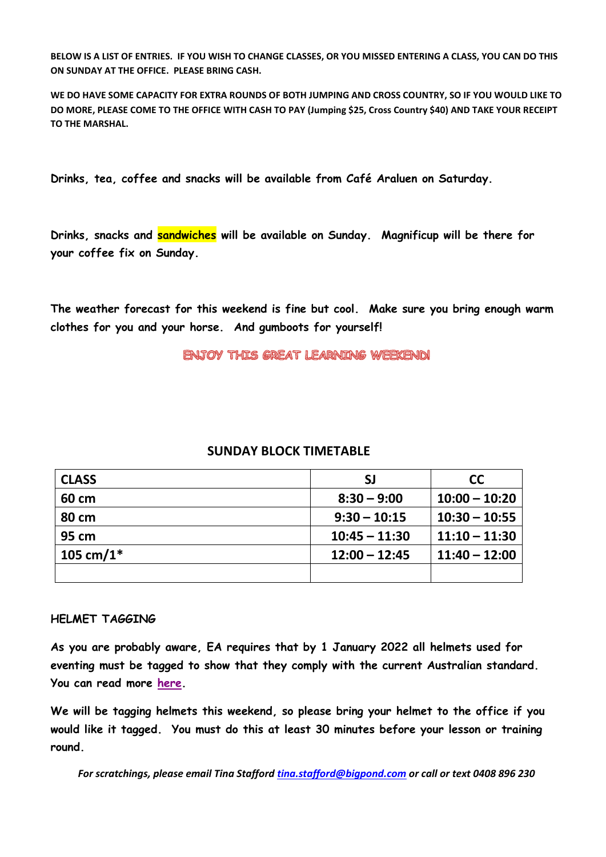**BELOW IS A LIST OF ENTRIES. IF YOU WISH TO CHANGE CLASSES, OR YOU MISSED ENTERING A CLASS, YOU CAN DO THIS ON SUNDAY AT THE OFFICE. PLEASE BRING CASH.** 

**WE DO HAVE SOME CAPACITY FOR EXTRA ROUNDS OF BOTH JUMPING AND CROSS COUNTRY, SO IF YOU WOULD LIKE TO DO MORE, PLEASE COME TO THE OFFICE WITH CASH TO PAY (Jumping \$25, Cross Country \$40) AND TAKE YOUR RECEIPT TO THE MARSHAL.**

**Drinks, tea, coffee and snacks will be available from Café Araluen on Saturday.**

**Drinks, snacks and sandwiches will be available on Sunday. Magnificup will be there for your coffee fix on Sunday.**

**The weather forecast for this weekend is fine but cool. Make sure you bring enough warm clothes for you and your horse. And gumboots for yourself!**

ENJOY THIS GREAT LEARNING WEEKEND!

# **SUNDAY BLOCK TIMETABLE**

| <b>CLASS</b> | <b>SJ</b>       | <b>CC</b>       |
|--------------|-----------------|-----------------|
| 60 cm        | $8:30 - 9:00$   | $10:00 - 10:20$ |
| 80 cm        | $9:30 - 10:15$  | $10:30 - 10:55$ |
| 95 cm        | $10:45 - 11:30$ | $11:10 - 11:30$ |
| 105 cm/1 $*$ | $12:00 - 12:45$ | $11:40 - 12:00$ |
|              |                 |                 |

## **HELMET TAGGING**

**As you are probably aware, EA requires that by 1 January 2022 all helmets used for eventing must be tagged to show that they comply with the current Australian standard. You can read more [here.](https://www.equestrian.org.au/news/changes-ppe-personal-protective-equipment-rules-eventing)**

**We will be tagging helmets this weekend, so please bring your helmet to the office if you would like it tagged. You must do this at least 30 minutes before your lesson or training round.**

*For scratchings, please email Tina Stafford [tina.stafford@bigpond.com](mailto:tina.stafford@bigpond.com) or call or text 0408 896 230*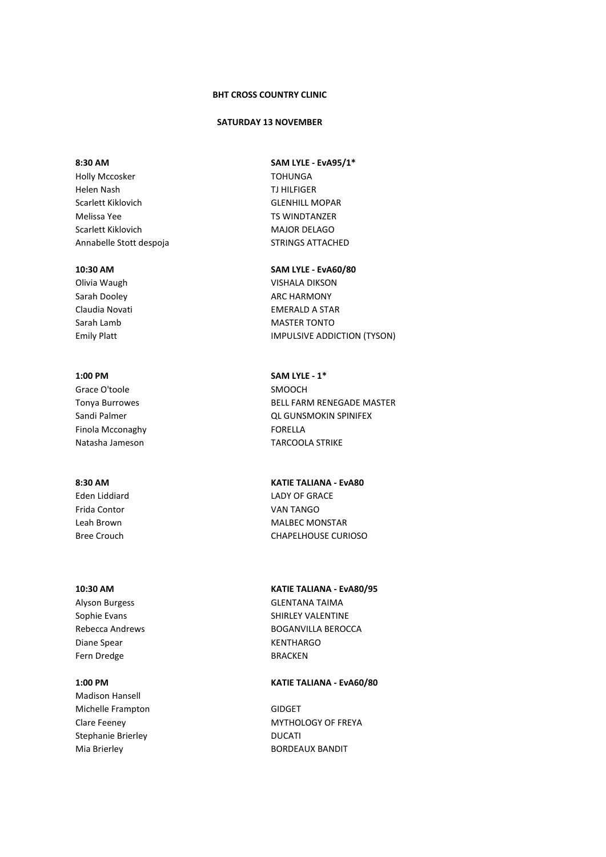## **BHT CROSS COUNTRY CLINIC**

### **SATURDAY 13 NOVEMBER**

Holly Mccosker **TOHUNGA** Helen Nash TJ HILFIGER Scarlett Kiklovich **GLENHILL MOPAR** Melissa Yee TS WINDTANZER Scarlett Kiklovich MAJOR DELAGO Annabelle Stott despoja STRINGS ATTACHED

Grace O'toole SMOOCH Finola Mcconaghy **FORELLA** 

Eden Liddiard **LADY OF GRACE** Frida Contor VAN TANGO

Diane Spear New York Channels and Manuscript Rent KENTHARGO Fern Dredge BRACKEN

Madison Hansell Michelle Frampton GIDGET Stephanie Brierley **DUCATI** 

## **8:30 AM SAM LYLE - EvA95/1\***

## **10:30 AM SAM LYLE - EvA60/80**

Olivia Waugh VISHALA DIKSON Sarah Dooley **ARC HARMONY** Claudia Novati EMERALD A STAR Sarah Lamb MASTER TONTO Emily Platt **IMPULSIVE ADDICTION** (TYSON)

**1:00 PM SAM LYLE - 1\*** Tonya Burrowes **BELL FARM RENEGADE MASTER** Sandi Palmer **Calculation Community** CL GUNSMOKIN SPINIFEX Natasha Jameson TARCOOLA STRIKE

# **8:30 AM KATIE TALIANA - EvA80**

Leah Brown NALBEC MONSTAR Bree Crouch CHAPELHOUSE CURIOSO

## **10:30 AM KATIE TALIANA - EvA80/95**

Alyson Burgess **GLENTANA TAIMA** Sophie Evans Shirley VALENTINE Rebecca Andrews **BOGANVILLA BEROCCA** 

## **1:00 PM KATIE TALIANA - EvA60/80**

Clare Feeney MYTHOLOGY OF FREYA Mia Brierley **BORDEAUX BANDIT**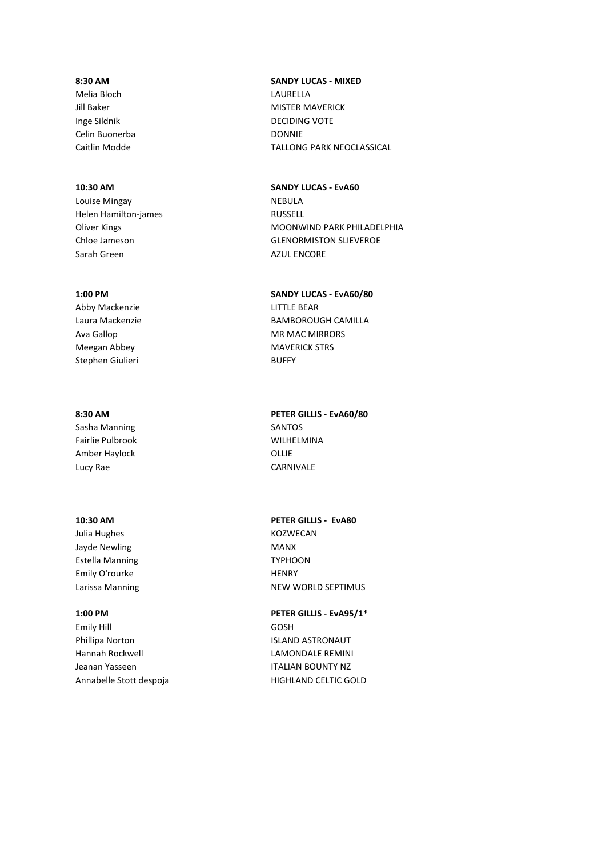Celin Buonerba DONNIE

Louise Mingay **NEBULA** Helen Hamilton-james **RUSSELL** Sarah Green AZUL ENCORE

Abby Mackenzie **LITTLE BEAR** Meegan Abbey MAVERICK STRS Stephen Giulieri **BUFFY** 

Sasha Manning Sasha Manning SANTOS Fairlie Pulbrook WILHELMINA Amber Haylock **OLLIE** Lucy Rae CARNIVALE

Julia Hughes **KOZWECAN** Jayde Newling MANX Estella Manning TYPHOON Emily O'rourke HENRY

Emily Hill GOSH Phillipa Norton **ISLAND ASTRONAUT** Hannah Rockwell **LAMONDALE REMINI** Jeanan Yasseen **ITALIAN BOUNTY NZ** Annabelle Stott despoja and a HIGHLAND CELTIC GOLD

# **8:30 AM SANDY LUCAS - MIXED** Melia Bloch LAURELLA Jill Baker MISTER MAVERICK Inge Sildnik DECIDING VOTE Caitlin Modde TALLONG PARK NEOCLASSICAL

**10:30 AM SANDY LUCAS - EvA60** Oliver Kings **MOONWIND PARK PHILADELPHIA** Chloe Jameson GLENORMISTON SLIEVEROE

## **1:00 PM SANDY LUCAS - EvA60/80**

Laura Mackenzie BAMBOROUGH CAMILLA Ava Gallop MR MAC MIRRORS

**8:30 AM PETER GILLIS - EvA60/80**

**10:30 AM PETER GILLIS - EvA80**

Larissa Manning **NEW WORLD SEPTIMUS** 

**1:00 PM PETER GILLIS - EvA95/1\***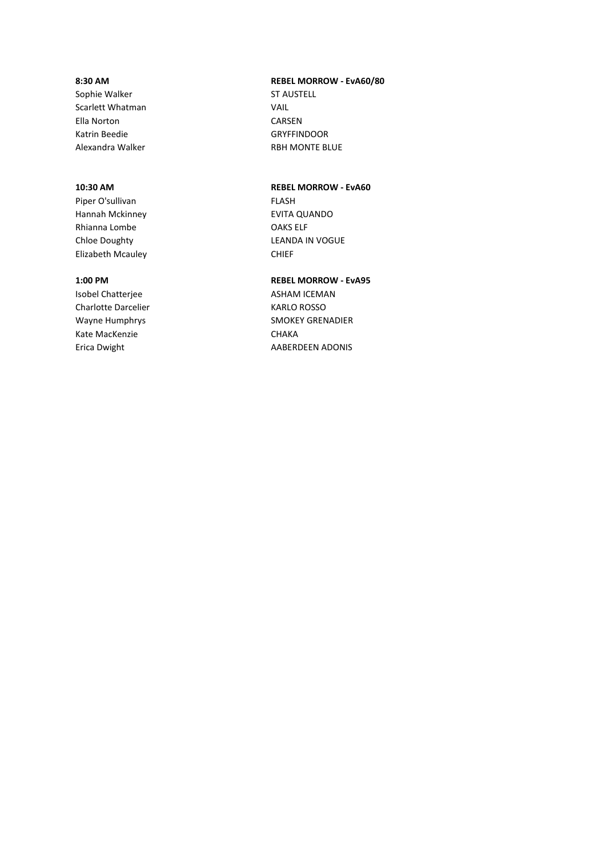Sophie Walker ST AUSTELL Scarlett Whatman VAIL Ella Norton CARSEN Katrin Beedie GRYFFINDOOR Alexandra Walker **RBH MONTE BLUE** 

Piper O'sullivan FLASH Hannah Mckinney EVITA QUANDO Rhianna Lombe **OAKS** ELF Elizabeth Mcauley **CHIEF** 

Charlotte Darcelier **KARLO ROSSO** Kate MacKenzie CHAKA Erica Dwight **AABERDEEN ADONIS** 

# **8:30 AM REBEL MORROW - EvA60/80**

## **10:30 AM REBEL MORROW - EvA60**

Chloe Doughty **LEANDA IN VOGUE** 

## **1:00 PM REBEL MORROW - EvA95**

Isobel Chatterjee ASHAM ICEMAN Wayne Humphrys SMOKEY GRENADIER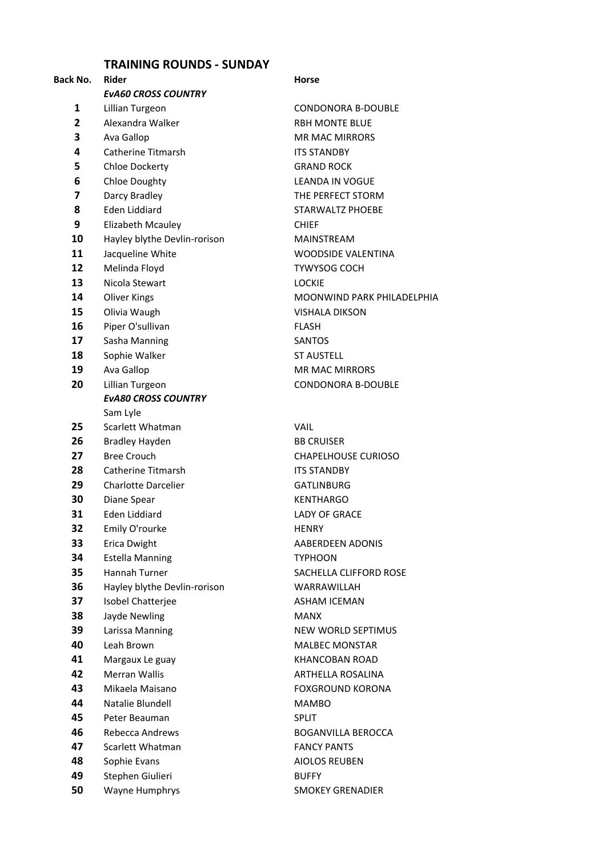## **TRAINING ROUNDS - SUNDAY**

# **Back No. Rider Community Community Reserves Area Horse** *EvA60 CROSS COUNTRY* Lillian Turgeon **CONDONORA B-DOUBLE**  Alexandra Walker RBH MONTE BLUE Ava Gallop MR MAC MIRRORS Catherine Titmarsh **ITS STANDBY**  Chloe Dockerty **GRAND ROCK**  Chloe Doughty **Change Change Change Change Change Change Change Change Change Change Change Change Change Change Change Change Change Change Change Change Change Change Change Change Change Change Change Change Change**  Darcy Bradley **THE PERFECT STORM** 8 Eden Liddiard STARWALTZ PHOEBE Elizabeth Mcauley **CHIEF**  Hayley blythe Devlin-rorison MAINSTREAM Jacqueline White WOODSIDE VALENTINA Melinda Floyd TYWYSOG COCH 13 Nicola Stewart LOCKIE Oliver Kings **MOONWIND PARK PHILADELPHIA**  Olivia Waugh **VISHALA DIKSON**  Piper O'sullivan FLASH Sasha Manning SANTOS Sophie Walker ST AUSTELL Ava Gallop MR MAC MIRRORS Lillian Turgeon CONDONORA B-DOUBLE *EvA80 CROSS COUNTRY* Sam Lyle Scarlett Whatman **VAIL**  Bradley Hayden BB CRUISER Bree Crouch CHAPELHOUSE CURIOSO Catherine Titmarsh ITS STANDBY Charlotte Darcelier **GATLINBURG**  Diane Spear **KENTHARGO**  Eden Liddiard LADY OF GRACE Emily O'rourke HENRY Erica Dwight **AABERDEEN ADONIS**  Estella Manning TYPHOON Hannah Turner SACHELLA CLIFFORD ROSE Hayley blythe Devlin-rorison WARRAWILLAH Isobel Chatterjee ASHAM ICEMAN Jayde Newling MANX Larissa Manning **NEW WORLD SEPTIMUS**  Leah Brown MALBEC MONSTAR Margaux Le guay **KHANCOBAN ROAD**  Merran Wallis **ARTHELLA ROSALINA**  Mikaela Maisano **FOXGROUND KORONA**  Natalie Blundell MAMBO Peter Beauman SPLIT Rebecca Andrews BOGANVILLA BEROCCA Scarlett Whatman **FANCY PANTS**  Sophie Evans **AIOLOS REUBEN**  Stephen Giulieri **BUFFY** Wayne Humphrys SMOKEY GRENADIER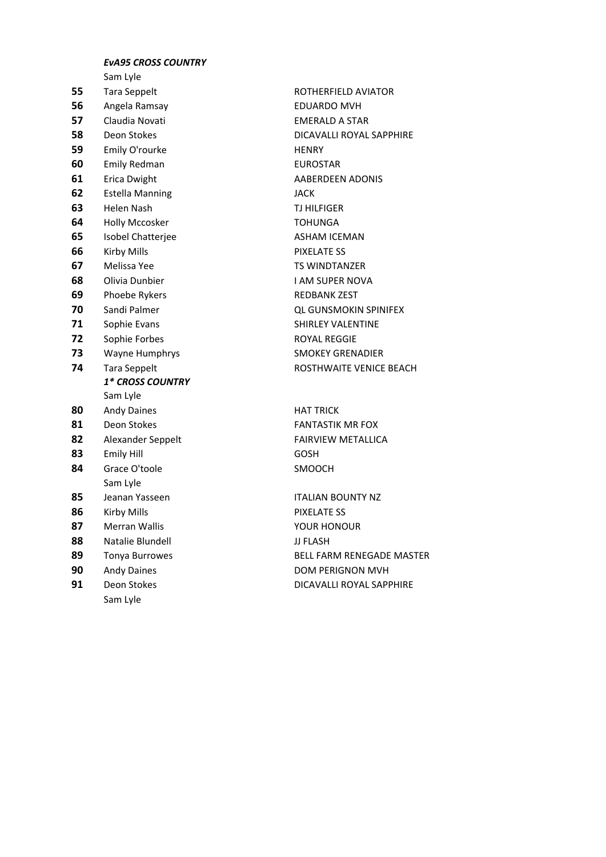## *EvA95 CROSS COUNTRY*

Sam Lyle

 Tara Seppelt **ROTHERFIELD AVIATOR**  Angela Ramsay **EDUARDO MVH**  Claudia Novati **EMERALD A STAR**  Emily O'rourke **HENRY**  Emily Redman **EUROSTAR**  Erica Dwight **AABERDEEN ADONIS**  Estella Manning **JACK**  Helen Nash **TJ HILFIGER**  Holly Mccosker **TOHUNGA**  Isobel Chatterjee **ASHAM ICEMAN**  Kirby Mills **PIXELATE SS**  Melissa Yee TS WINDTANZER Olivia Dunbier **I AM SUPER NOVA**  Phoebe Rykers **REDBANK ZEST**  Sandi Palmer **COUNSMOKIN SPINIFEX**  Sophie Evans SHIRLEY VALENTINE Sophie Forbes ROYAL REGGIE Wayne Humphrys SMOKEY GRENADIER *1\* CROSS COUNTRY* Sam Lyle Andy Daines **HAT TRICK** 81 Deon Stokes FANTASTIK MR FOX 82 Alexander Seppelt FAIRVIEW METALLICA 83 Emily Hill GOSH 84 Grace O'toole SMOOCH Sam Lyle 85 Jeanan Yasseen **ITALIAN BOUNTY NZ**  Kirby Mills **PIXELATE SS**  Merran Wallis **No. 2018 12:33 Merran Wallis** Merran Wallis 88 Natalie Blundell **88 Natalie Blundell** JJ FLASH Andy Daines **DOM PERIGNON MVH**  Deon Stokes DICAVALLI ROYAL SAPPHIRE Sam Lyle

 Deon Stokes DICAVALLI ROYAL SAPPHIRE Tara Seppelt **ROSTHWAITE VENICE BEACH** 89 Tonya Burrowes **BELL FARM RENEGADE MASTER**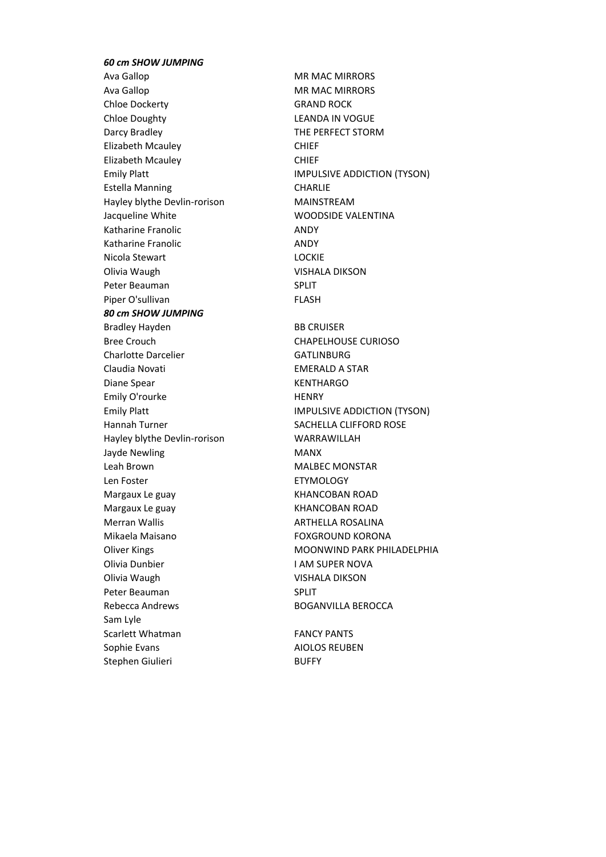## *60 cm SHOW JUMPING*

Ava Gallop MR MAC MIRRORS Ava Gallop MR MAC MIRRORS Chloe Dockerty GRAND ROCK Chloe Doughty LEANDA IN VOGUE Darcy Bradley **THE PERFECT STORM** Elizabeth Mcauley CHIEF Elizabeth Mcauley **CHIEF** Estella Manning CHARLIE Hayley blythe Devlin-rorison MAINSTREAM Jacqueline White WOODSIDE VALENTINA Katharine Franolic **ANDY** Katharine Franolic **ANDY** Nicola Stewart LOCKIE Olivia Waugh VISHALA DIKSON Peter Beauman SPLIT Piper O'sullivan FLASH *80 cm SHOW JUMPING* Bradley Hayden BB CRUISER Bree Crouch CHAPELHOUSE CURIOSO Charlotte Darcelier GATLINBURG Claudia Novati EMERALD A STAR Diane Spear New York New York Rent KENTHARGO Emily O'rourke HENRY Hannah Turner SACHELLA CLIFFORD ROSE Hayley blythe Devlin-rorison WARRAWILLAH Jayde Newling MANX Leah Brown NALBEC MONSTAR Len Foster **ETYMOLOGY** Margaux Le guay Margaux Le guay Communication and Margaux Le guay Number 2016 Margaux Le guay **KHANCOBAN ROAD** Merran Wallis **Matters ARTHELLA ROSALINA** Mikaela Maisano FOXGROUND KORONA Olivia Dunbier **I AM SUPER NOVA** Olivia Waugh VISHALA DIKSON Peter Beauman SPLIT Rebecca Andrews **BOGANVILLA BEROCCA** Sam Lyle Scarlett Whatman FANCY PANTS Sophie Evans **AIOLOS REUBEN** Stephen Giulieri BUFFY

Emily Platt **IMPULSIVE ADDICTION** (TYSON) Emily Platt **IMPULSIVE ADDICTION** (TYSON) Oliver Kings **MOONWIND PARK PHILADELPHIA**